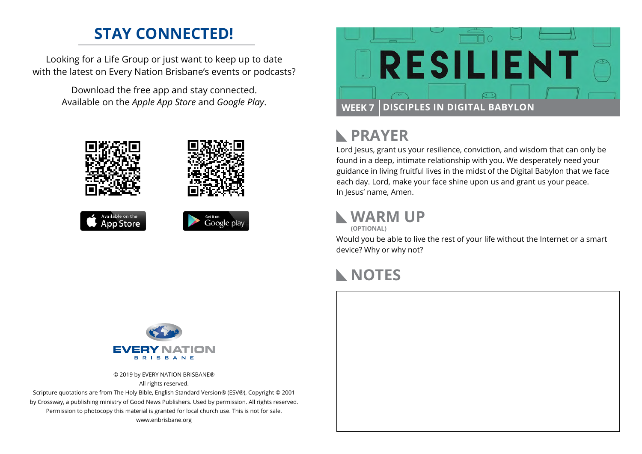### **STAY CONNECTED!**

Looking for a Life Group or just want to keep up to date with the latest on Every Nation Brisbane's events or podcasts?

> Download the free app and stay connected. Available on the *Apple App Store* and *Google Play*.





# **PRAYER**

Lord Jesus, grant us your resilience, conviction, and wisdom that can only be found in a deep, intimate relationship with you. We desperately need your guidance in living fruitful lives in the midst of the Digital Babylon that we face each day. Lord, make your face shine upon us and grant us your peace. In Jesus' name, Amen.

## **WARM UP**

**(OPTIONAL)**

Would you be able to live the rest of your life without the Internet or a smart device? Why or why not?

#### **NOTES**



© 2019 by EVERY NATION BRISBANE® All rights reserved.

Scripture quotations are from The Holy Bible, English Standard Version® (ESV®), Copyright © 2001 by Crossway, a publishing ministry of Good News Publishers. Used by permission. All rights reserved. Permission to photocopy this material is granted for local church use. This is not for sale. www.enbrisbane.org